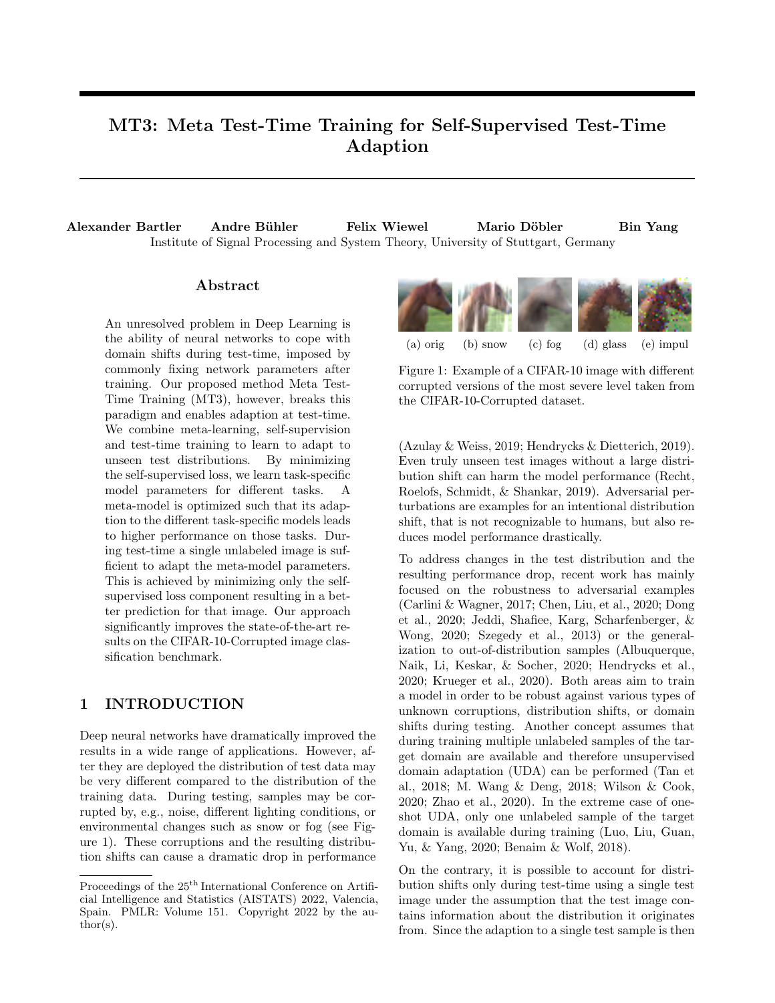# MT3: Meta Test-Time Training for Self-Supervised Test-Time Adaption

Alexander Bartler Andre B¨uhler Felix Wiewel Mario D¨obler Bin Yang Institute of Signal Processing and System Theory, University of Stuttgart, Germany

# Abstract

An unresolved problem in Deep Learning is the ability of neural networks to cope with domain shifts during test-time, imposed by commonly fixing network parameters after training. Our proposed method Meta Test-Time Training (MT3), however, breaks this paradigm and enables adaption at test-time. We combine meta-learning, self-supervision and test-time training to learn to adapt to unseen test distributions. By minimizing the self-supervised loss, we learn task-specific model parameters for different tasks. A meta-model is optimized such that its adaption to the different task-specific models leads to higher performance on those tasks. During test-time a single unlabeled image is sufficient to adapt the meta-model parameters. This is achieved by minimizing only the selfsupervised loss component resulting in a better prediction for that image. Our approach significantly improves the state-of-the-art results on the CIFAR-10-Corrupted image classification benchmark.

# 1 INTRODUCTION

Deep neural networks have dramatically improved the results in a wide range of applications. However, after they are deployed the distribution of test data may be very different compared to the distribution of the training data. During testing, samples may be corrupted by, e.g., noise, different lighting conditions, or environmental changes such as snow or fog (see Figure 1). These corruptions and the resulting distribution shifts can cause a dramatic drop in performance



Figure 1: Example of a CIFAR-10 image with different corrupted versions of the most severe level taken from the CIFAR-10-Corrupted dataset.

(Azulay & Weiss, 2019; Hendrycks & Dietterich, 2019). Even truly unseen test images without a large distribution shift can harm the model performance (Recht, Roelofs, Schmidt, & Shankar, 2019). Adversarial perturbations are examples for an intentional distribution shift, that is not recognizable to humans, but also reduces model performance drastically.

To address changes in the test distribution and the resulting performance drop, recent work has mainly focused on the robustness to adversarial examples (Carlini & Wagner, 2017; Chen, Liu, et al., 2020; Dong et al., 2020; Jeddi, Shafiee, Karg, Scharfenberger, & Wong, 2020; Szegedy et al., 2013) or the generalization to out-of-distribution samples (Albuquerque, Naik, Li, Keskar, & Socher, 2020; Hendrycks et al., 2020; Krueger et al., 2020). Both areas aim to train a model in order to be robust against various types of unknown corruptions, distribution shifts, or domain shifts during testing. Another concept assumes that during training multiple unlabeled samples of the target domain are available and therefore unsupervised domain adaptation (UDA) can be performed (Tan et al., 2018; M. Wang & Deng, 2018; Wilson & Cook, 2020; Zhao et al., 2020). In the extreme case of oneshot UDA, only one unlabeled sample of the target domain is available during training (Luo, Liu, Guan, Yu, & Yang, 2020; Benaim & Wolf, 2018).

On the contrary, it is possible to account for distribution shifts only during test-time using a single test image under the assumption that the test image contains information about the distribution it originates from. Since the adaption to a single test sample is then

Proceedings of the  $25<sup>th</sup>$  International Conference on Artificial Intelligence and Statistics (AISTATS) 2022, Valencia, Spain. PMLR: Volume 151. Copyright 2022 by the au- $\text{thor}(s)$ .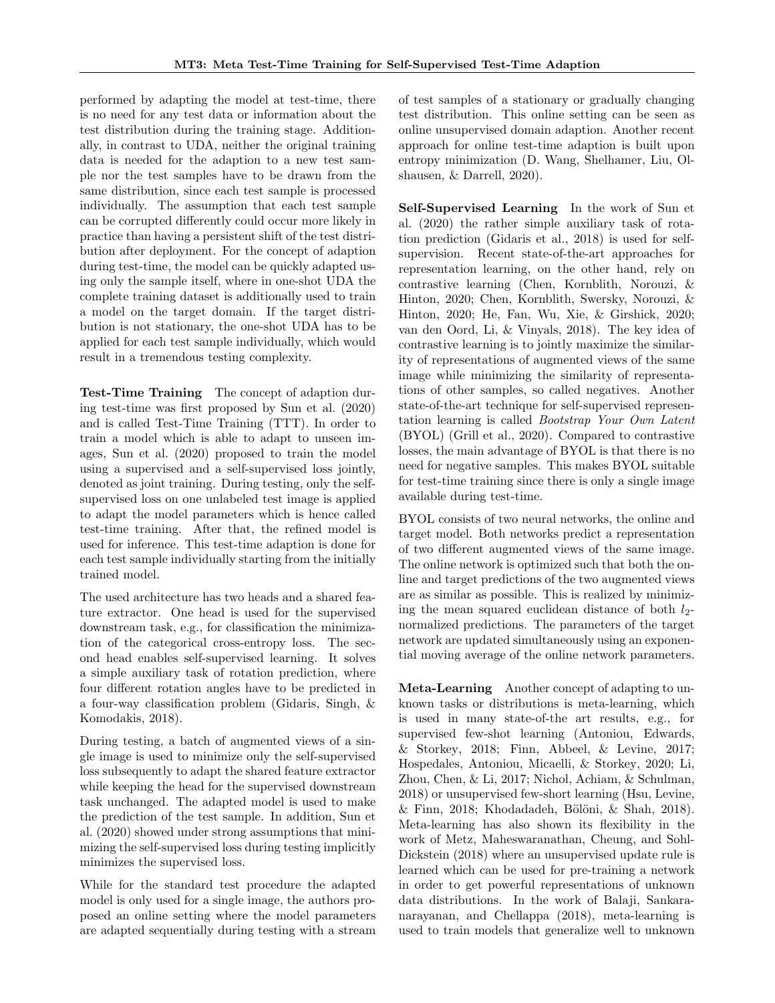performed by adapting the model at test-time, there is no need for any test data or information about the test distribution during the training stage. Additionally, in contrast to UDA, neither the original training data is needed for the adaption to a new test sample nor the test samples have to be drawn from the same distribution, since each test sample is processed individually. The assumption that each test sample can be corrupted differently could occur more likely in practice than having a persistent shift of the test distribution after deployment. For the concept of adaption during test-time, the model can be quickly adapted using only the sample itself, where in one-shot UDA the complete training dataset is additionally used to train a model on the target domain. If the target distribution is not stationary, the one-shot UDA has to be applied for each test sample individually, which would result in a tremendous testing complexity.

Test-Time Training The concept of adaption during test-time was first proposed by Sun et al. (2020) and is called Test-Time Training (TTT). In order to train a model which is able to adapt to unseen images, Sun et al. (2020) proposed to train the model using a supervised and a self-supervised loss jointly, denoted as joint training. During testing, only the selfsupervised loss on one unlabeled test image is applied to adapt the model parameters which is hence called test-time training. After that, the refined model is used for inference. This test-time adaption is done for each test sample individually starting from the initially trained model.

The used architecture has two heads and a shared feature extractor. One head is used for the supervised downstream task, e.g., for classification the minimization of the categorical cross-entropy loss. The second head enables self-supervised learning. It solves a simple auxiliary task of rotation prediction, where four different rotation angles have to be predicted in a four-way classification problem (Gidaris, Singh, & Komodakis, 2018).

During testing, a batch of augmented views of a single image is used to minimize only the self-supervised loss subsequently to adapt the shared feature extractor while keeping the head for the supervised downstream task unchanged. The adapted model is used to make the prediction of the test sample. In addition, Sun et al. (2020) showed under strong assumptions that minimizing the self-supervised loss during testing implicitly minimizes the supervised loss.

While for the standard test procedure the adapted model is only used for a single image, the authors proposed an online setting where the model parameters are adapted sequentially during testing with a stream

of test samples of a stationary or gradually changing test distribution. This online setting can be seen as online unsupervised domain adaption. Another recent approach for online test-time adaption is built upon entropy minimization (D. Wang, Shelhamer, Liu, Olshausen, & Darrell, 2020).

Self-Supervised Learning In the work of Sun et al. (2020) the rather simple auxiliary task of rotation prediction (Gidaris et al., 2018) is used for selfsupervision. Recent state-of-the-art approaches for representation learning, on the other hand, rely on contrastive learning (Chen, Kornblith, Norouzi, & Hinton, 2020; Chen, Kornblith, Swersky, Norouzi, & Hinton, 2020; He, Fan, Wu, Xie, & Girshick, 2020; van den Oord, Li, & Vinyals, 2018). The key idea of contrastive learning is to jointly maximize the similarity of representations of augmented views of the same image while minimizing the similarity of representations of other samples, so called negatives. Another state-of-the-art technique for self-supervised representation learning is called Bootstrap Your Own Latent (BYOL) (Grill et al., 2020). Compared to contrastive losses, the main advantage of BYOL is that there is no need for negative samples. This makes BYOL suitable for test-time training since there is only a single image available during test-time.

BYOL consists of two neural networks, the online and target model. Both networks predict a representation of two different augmented views of the same image. The online network is optimized such that both the online and target predictions of the two augmented views are as similar as possible. This is realized by minimizing the mean squared euclidean distance of both  $l_2$ normalized predictions. The parameters of the target network are updated simultaneously using an exponential moving average of the online network parameters.

Meta-Learning Another concept of adapting to unknown tasks or distributions is meta-learning, which is used in many state-of-the art results, e.g., for supervised few-shot learning (Antoniou, Edwards, & Storkey, 2018; Finn, Abbeel, & Levine, 2017; Hospedales, Antoniou, Micaelli, & Storkey, 2020; Li, Zhou, Chen, & Li, 2017; Nichol, Achiam, & Schulman, 2018) or unsupervised few-short learning (Hsu, Levine,  $&$  Finn, 2018; Khodadadeh, Bölöni,  $&$  Shah, 2018). Meta-learning has also shown its flexibility in the work of Metz, Maheswaranathan, Cheung, and Sohl-Dickstein (2018) where an unsupervised update rule is learned which can be used for pre-training a network in order to get powerful representations of unknown data distributions. In the work of Balaji, Sankaranarayanan, and Chellappa (2018), meta-learning is used to train models that generalize well to unknown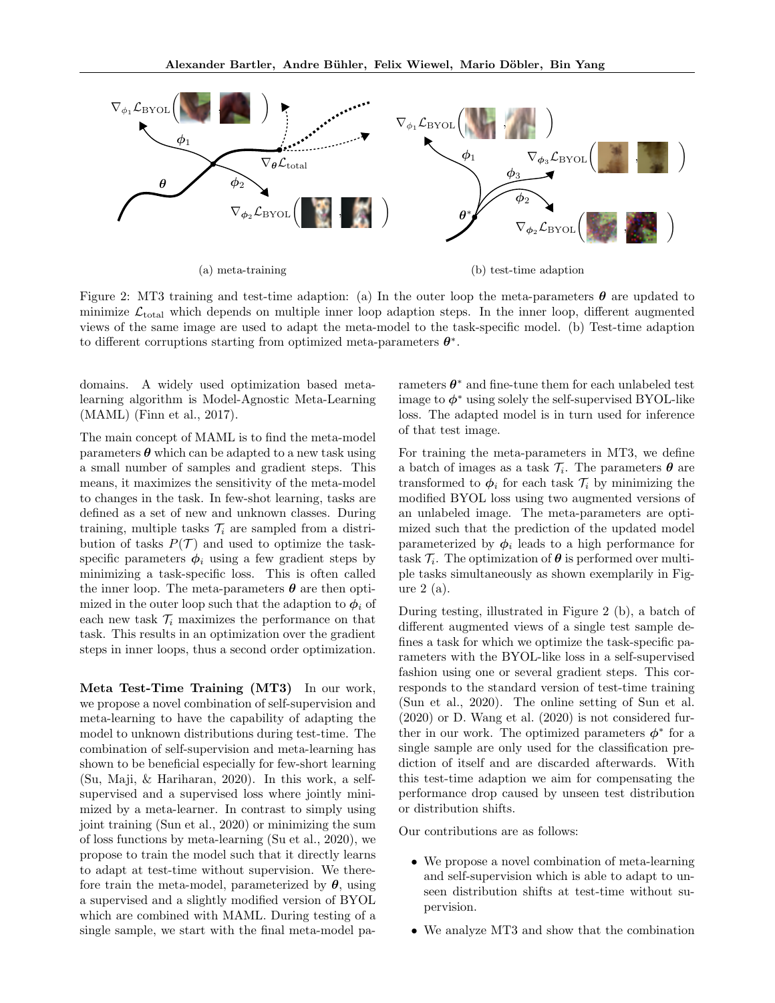

Figure 2: MT3 training and test-time adaption: (a) In the outer loop the meta-parameters  $\theta$  are updated to minimize  $\mathcal{L}_{total}$  which depends on multiple inner loop adaption steps. In the inner loop, different augmented views of the same image are used to adapt the meta-model to the task-specific model. (b) Test-time adaption to different corruptions starting from optimized meta-parameters  $\theta^*$ .

domains. A widely used optimization based metalearning algorithm is Model-Agnostic Meta-Learning (MAML) (Finn et al., 2017).

The main concept of MAML is to find the meta-model parameters  $\boldsymbol{\theta}$  which can be adapted to a new task using a small number of samples and gradient steps. This means, it maximizes the sensitivity of the meta-model to changes in the task. In few-shot learning, tasks are defined as a set of new and unknown classes. During training, multiple tasks  $\mathcal{T}_i$  are sampled from a distribution of tasks  $P(\mathcal{T})$  and used to optimize the taskspecific parameters  $\phi_i$  using a few gradient steps by minimizing a task-specific loss. This is often called the inner loop. The meta-parameters  $\theta$  are then optimized in the outer loop such that the adaption to  $\phi_i$  of each new task  $\mathcal{T}_i$  maximizes the performance on that task. This results in an optimization over the gradient steps in inner loops, thus a second order optimization.

Meta Test-Time Training (MT3) In our work, we propose a novel combination of self-supervision and meta-learning to have the capability of adapting the model to unknown distributions during test-time. The combination of self-supervision and meta-learning has shown to be beneficial especially for few-short learning (Su, Maji, & Hariharan, 2020). In this work, a selfsupervised and a supervised loss where jointly minimized by a meta-learner. In contrast to simply using joint training (Sun et al., 2020) or minimizing the sum of loss functions by meta-learning (Su et al., 2020), we propose to train the model such that it directly learns to adapt at test-time without supervision. We therefore train the meta-model, parameterized by  $\theta$ , using a supervised and a slightly modified version of BYOL which are combined with MAML. During testing of a single sample, we start with the final meta-model pa-

rameters  $\theta^*$  and fine-tune them for each unlabeled test image to  $\phi^*$  using solely the self-supervised BYOL-like loss. The adapted model is in turn used for inference of that test image.

For training the meta-parameters in MT3, we define a batch of images as a task  $\mathcal{T}_i$ . The parameters  $\boldsymbol{\theta}$  are transformed to  $\phi_i$  for each task  $\mathcal{T}_i$  by minimizing the modified BYOL loss using two augmented versions of an unlabeled image. The meta-parameters are optimized such that the prediction of the updated model parameterized by  $\phi_i$  leads to a high performance for task  $\mathcal{T}_i$ . The optimization of  $\boldsymbol{\theta}$  is performed over multiple tasks simultaneously as shown exemplarily in Figure 2 (a).

During testing, illustrated in Figure 2 (b), a batch of different augmented views of a single test sample defines a task for which we optimize the task-specific parameters with the BYOL-like loss in a self-supervised fashion using one or several gradient steps. This corresponds to the standard version of test-time training (Sun et al., 2020). The online setting of Sun et al. (2020) or D. Wang et al. (2020) is not considered further in our work. The optimized parameters  $\phi^*$  for a single sample are only used for the classification prediction of itself and are discarded afterwards. With this test-time adaption we aim for compensating the performance drop caused by unseen test distribution or distribution shifts.

Our contributions are as follows:

- We propose a novel combination of meta-learning and self-supervision which is able to adapt to unseen distribution shifts at test-time without supervision.
- We analyze MT3 and show that the combination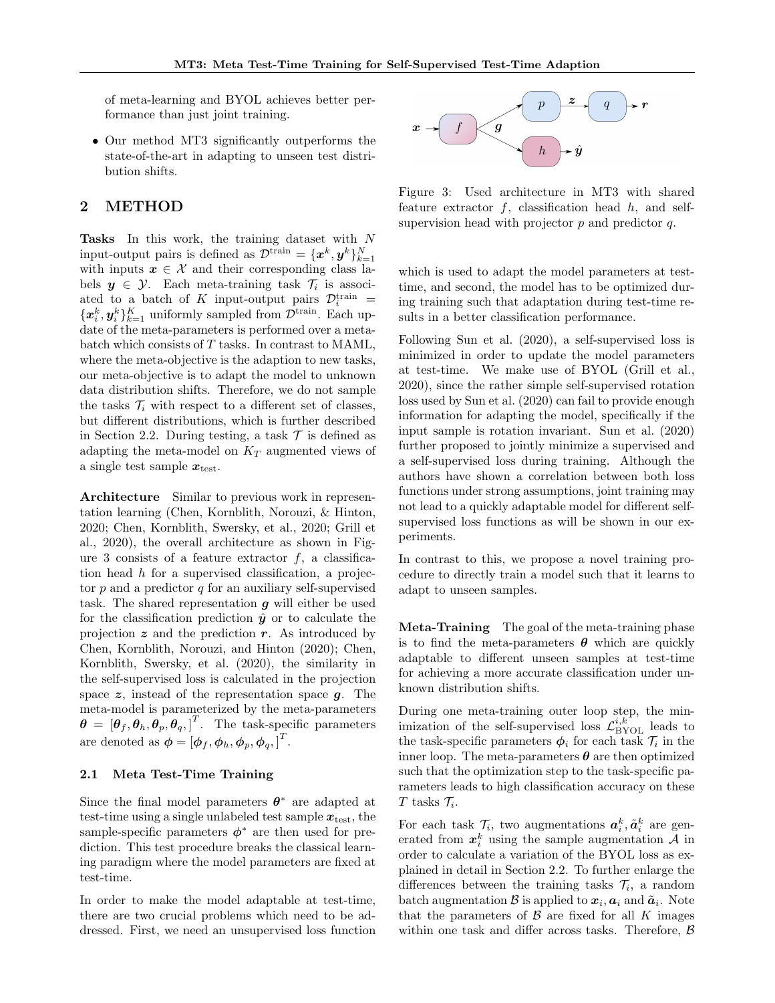of meta-learning and BYOL achieves better performance than just joint training.

• Our method MT3 significantly outperforms the state-of-the-art in adapting to unseen test distribution shifts.

# 2 METHOD

Tasks In this work, the training dataset with N input-output pairs is defined as  $\mathcal{D}^{\text{train}} = \{x^k, y^k\}_{k=1}^N$ with inputs  $x \in \mathcal{X}$  and their corresponding class labels  $y \in \mathcal{Y}$ . Each meta-training task  $\mathcal{T}_i$  is associated to a batch of K input-output pairs  $\mathcal{D}_i^{\text{train}} =$  ${x_i^k, y_i^k}_{k=1}^K$  uniformly sampled from  $\mathcal{D}^{\text{train}}$ . Each update of the meta-parameters is performed over a metabatch which consists of T tasks. In contrast to MAML, where the meta-objective is the adaption to new tasks, our meta-objective is to adapt the model to unknown data distribution shifts. Therefore, we do not sample the tasks  $\mathcal{T}_i$  with respect to a different set of classes, but different distributions, which is further described in Section 2.2. During testing, a task  $\mathcal T$  is defined as adapting the meta-model on  $K_T$  augmented views of a single test sample  $x_{\text{test}}$ .

Architecture Similar to previous work in representation learning (Chen, Kornblith, Norouzi, & Hinton, 2020; Chen, Kornblith, Swersky, et al., 2020; Grill et al., 2020), the overall architecture as shown in Figure 3 consists of a feature extractor  $f$ , a classification head  $h$  for a supervised classification, a projector  $p$  and a predictor  $q$  for an auxiliary self-supervised task. The shared representation  $g$  will either be used for the classification prediction  $\hat{y}$  or to calculate the projection  $z$  and the prediction  $r$ . As introduced by Chen, Kornblith, Norouzi, and Hinton (2020); Chen, Kornblith, Swersky, et al. (2020), the similarity in the self-supervised loss is calculated in the projection space  $z$ , instead of the representation space  $q$ . The meta-model is parameterized by the meta-parameters  $\boldsymbol{\theta} = [\boldsymbol{\theta}_f, \boldsymbol{\theta}_h, \boldsymbol{\theta}_p, \boldsymbol{\theta}_q, ]^T$ . The task-specific parameters are denoted as  $\boldsymbol{\phi} = [\boldsymbol{\phi}_f, \boldsymbol{\phi}_h, \boldsymbol{\phi}_p, \boldsymbol{\phi}_q, ]^T$ .

### 2.1 Meta Test-Time Training

Since the final model parameters  $\theta^*$  are adapted at test-time using a single unlabeled test sample  $x_{test}$ , the sample-specific parameters  $\phi^*$  are then used for prediction. This test procedure breaks the classical learning paradigm where the model parameters are fixed at test-time.

In order to make the model adaptable at test-time, there are two crucial problems which need to be addressed. First, we need an unsupervised loss function



Figure 3: Used architecture in MT3 with shared feature extractor  $f$ , classification head  $h$ , and selfsupervision head with projector  $p$  and predictor  $q$ .

which is used to adapt the model parameters at testtime, and second, the model has to be optimized during training such that adaptation during test-time results in a better classification performance.

Following Sun et al. (2020), a self-supervised loss is minimized in order to update the model parameters at test-time. We make use of BYOL (Grill et al., 2020), since the rather simple self-supervised rotation loss used by Sun et al. (2020) can fail to provide enough information for adapting the model, specifically if the input sample is rotation invariant. Sun et al. (2020) further proposed to jointly minimize a supervised and a self-supervised loss during training. Although the authors have shown a correlation between both loss functions under strong assumptions, joint training may not lead to a quickly adaptable model for different selfsupervised loss functions as will be shown in our experiments.

In contrast to this, we propose a novel training procedure to directly train a model such that it learns to adapt to unseen samples.

Meta-Training The goal of the meta-training phase is to find the meta-parameters  $\theta$  which are quickly adaptable to different unseen samples at test-time for achieving a more accurate classification under unknown distribution shifts.

During one meta-training outer loop step, the minimization of the self-supervised loss  $\mathcal{L}_{\rm BYOL}^{i,k}$  leads to the task-specific parameters  $\phi_i$  for each task  $\mathcal{T}_i$  in the inner loop. The meta-parameters  $\theta$  are then optimized such that the optimization step to the task-specific parameters leads to high classification accuracy on these T tasks  $\mathcal{T}_i$ .

For each task  $\mathcal{T}_i$ , two augmentations  $a_i^k, \tilde{a}_i^k$  are generated from  $x_i^k$  using the sample augmentation A in order to calculate a variation of the BYOL loss as explained in detail in Section 2.2. To further enlarge the differences between the training tasks  $\mathcal{T}_i$ , a random batch augmentation  $\mathcal B$  is applied to  $\boldsymbol x_i, \boldsymbol a_i$  and  $\tilde{\boldsymbol a}_i$ . Note that the parameters of  $\beta$  are fixed for all K images within one task and differ across tasks. Therefore,  $\beta$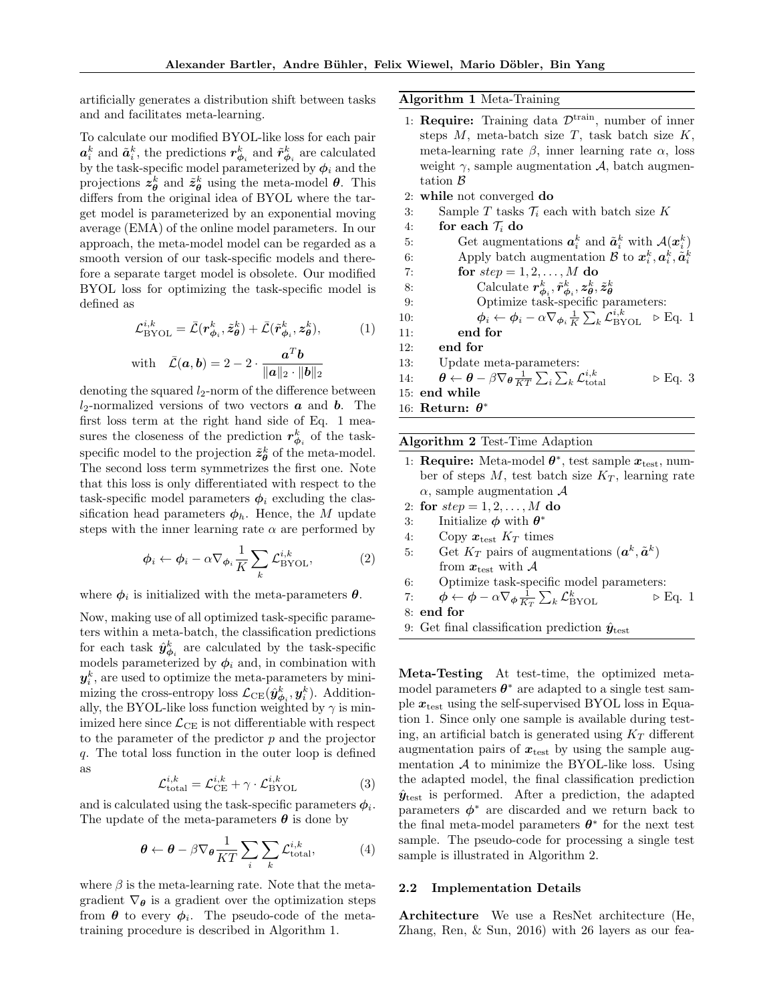artificially generates a distribution shift between tasks and and facilitates meta-learning.

To calculate our modified BYOL-like loss for each pair  $a_i^k$  and  $\tilde{a}_i^k$ , the predictions  $r_{\phi_i}^k$  and  $\tilde{r}_{\phi_i}^k$  are calculated by the task-specific model parameterized by  $\phi_i$  and the projections  $z_{\theta}^k$  and  $\tilde{z}_{\theta}^k$  using the meta-model  $\theta$ . This differs from the original idea of BYOL where the target model is parameterized by an exponential moving average (EMA) of the online model parameters. In our approach, the meta-model model can be regarded as a smooth version of our task-specific models and therefore a separate target model is obsolete. Our modified BYOL loss for optimizing the task-specific model is defined as

$$
\mathcal{L}_{\mathrm{BYOL}}^{i,k} = \bar{\mathcal{L}}(\mathbf{r}_{\phi_i}^k, \tilde{\mathbf{z}}_{\theta}^k) + \bar{\mathcal{L}}(\tilde{\mathbf{r}}_{\phi_i}^k, \mathbf{z}_{\theta}^k),\tag{1}
$$

with 
$$
\bar{\mathcal{L}}(\boldsymbol{a}, \boldsymbol{b}) = 2 - 2 \cdot \frac{\boldsymbol{a}^T \boldsymbol{b}}{\|\boldsymbol{a}\|_2 \cdot \|\boldsymbol{b}\|_2}
$$

denoting the squared  $l_2$ -norm of the difference between  $l_2$ -normalized versions of two vectors  $\boldsymbol{a}$  and  $\boldsymbol{b}$ . The first loss term at the right hand side of Eq. 1 measures the closeness of the prediction  $r^k_{\phi_i}$  of the taskspecific model to the projection  $\tilde{z}_{\theta}^{k}$  of the meta-model. The second loss term symmetrizes the first one. Note that this loss is only differentiated with respect to the task-specific model parameters  $\phi_i$  excluding the classification head parameters  $\phi_h$ . Hence, the M update steps with the inner learning rate  $\alpha$  are performed by

$$
\phi_i \leftarrow \phi_i - \alpha \nabla_{\phi_i} \frac{1}{K} \sum_k \mathcal{L}_{\text{BYOL}}^{i,k},\tag{2}
$$

where  $\phi_i$  is initialized with the meta-parameters  $\theta$ .

Now, making use of all optimized task-specific parameters within a meta-batch, the classification predictions for each task  $\hat{y}^k_{\phi_i}$  are calculated by the task-specific models parameterized by  $\phi_i$  and, in combination with  $\boldsymbol{y}_i^k$ , are used to optimize the meta-parameters by minimizing the cross-entropy loss  $\mathcal{L}_{CE}(\hat{\mathbf{y}}_{\phi_i}^k, \mathbf{y}_i^k)$ . Additionally, the BYOL-like loss function weighted by  $\gamma$  is minimized here since  $\mathcal{L}_{\text{CE}}$  is not differentiable with respect to the parameter of the predictor  $p$  and the projector q. The total loss function in the outer loop is defined as

$$
\mathcal{L}_{\text{total}}^{i,k} = \mathcal{L}_{\text{CE}}^{i,k} + \gamma \cdot \mathcal{L}_{\text{BYOL}}^{i,k} \tag{3}
$$

and is calculated using the task-specific parameters  $\phi_i$ . The update of the meta-parameters  $\theta$  is done by

$$
\theta \leftarrow \theta - \beta \nabla_{\theta} \frac{1}{KT} \sum_{i} \sum_{k} \mathcal{L}_{\text{total}}^{i,k}, \tag{4}
$$

where  $\beta$  is the meta-learning rate. Note that the metagradient  $\nabla_{\theta}$  is a gradient over the optimization steps from  $\boldsymbol{\theta}$  to every  $\boldsymbol{\phi}_i$ . The pseudo-code of the metatraining procedure is described in Algorithm 1.

Algorithm 1 Meta-Training

- 1: Require: Training data  $\mathcal{D}^{\text{train}}$ , number of inner steps  $M$ , meta-batch size  $T$ , task batch size  $K$ , meta-learning rate β, inner learning rate α, loss weight  $\gamma$ , sample augmentation A, batch augmentation B
- 2: while not converged do
- 3: Sample T tasks  $\mathcal{T}_i$  each with batch size K
- 4: for each  $\mathcal{T}_i$  do
- 5: Get augmentations  $a_i^k$  and  $\tilde{a}_i^k$  with  $\mathcal{A}(x_i^k)$ 6: Apply batch augmentation  $\mathcal{B}$  to  $\mathbf{x}_i^k, \mathbf{a}_i^k, \tilde{\mathbf{a}}_i^k$ 7: for  $step = 1, 2, ..., M$  do 8: Calculate  $r_{\phi_i}^k, \tilde{r}_{\phi_i}^k, z_{\theta}^k, \tilde{z}_{\theta}^k$ <br>9: Optimize task-specific parameters: 10:  $\phi_i \leftarrow \phi_i - \alpha \nabla_{\phi_i} \frac{1}{K} \sum_k \mathcal{L}_{\text{BYOL}}^{i,k} \triangleright \text{Eq. 1}$ 11: end for 12: end for 13: Update meta-parameters:
- 14:  $\theta \leftarrow \theta \beta \nabla_{\theta} \frac{1}{KT} \sum_i \sum_k \mathcal{L}_{\text{tot}}^{i,k}$  $\triangleright$  Eq. 3
- 15: end while
- 16: Return:  $\theta^*$

### Algorithm 2 Test-Time Adaption

- 1: Require: Meta-model  $\theta^*$ , test sample  $x_{\text{test}}$ , number of steps M, test batch size  $K_T$ , learning rate  $\alpha$ , sample augmentation  $\mathcal A$
- 2: for  $step = 1, 2, ..., M$  do
- 3: Initialize  $\phi$  with  $\theta^*$
- 4: Copy  $x_{\text{test}} K_T$  times
- 5: Get  $K_T$  pairs of augmentations  $(a^k, \tilde{a}^k)$ from  $x_{\text{test}}$  with A
- 6: Optimize task-specific model parameters:

7: 
$$
\phi \leftarrow \phi - \alpha \nabla_{\phi} \frac{1}{K_T} \sum_k \mathcal{L}_{\text{BYOL}}^k
$$
  $\triangleright$  Eq. 1

8: end for

9: Get final classification prediction  $\hat{y}_{\text{test}}$ 

Meta-Testing At test-time, the optimized metamodel parameters  $\theta^*$  are adapted to a single test sample  $x_{test}$  using the self-supervised BYOL loss in Equation 1. Since only one sample is available during testing, an artificial batch is generated using  $K_T$  different augmentation pairs of  $x_{\text{test}}$  by using the sample augmentation  $A$  to minimize the BYOL-like loss. Using the adapted model, the final classification prediction  $\hat{y}_{\text{test}}$  is performed. After a prediction, the adapted parameters  $\phi^*$  are discarded and we return back to the final meta-model parameters  $\theta^*$  for the next test sample. The pseudo-code for processing a single test sample is illustrated in Algorithm 2.

#### 2.2 Implementation Details

Architecture We use a ResNet architecture (He, Zhang, Ren, & Sun, 2016) with 26 layers as our fea-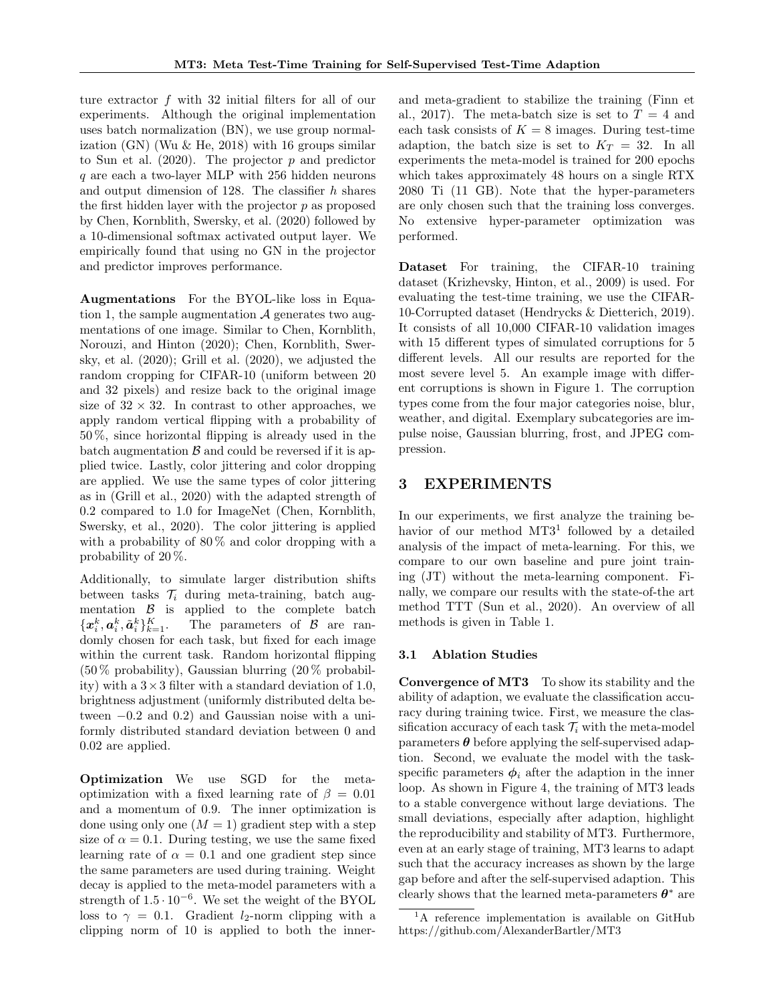ture extractor f with 32 initial filters for all of our experiments. Although the original implementation uses batch normalization (BN), we use group normalization  $(GN)$  (Wu & He, 2018) with 16 groups similar to Sun et al.  $(2020)$ . The projector p and predictor q are each a two-layer MLP with 256 hidden neurons and output dimension of 128. The classifier  $h$  shares the first hidden layer with the projector p as proposed by Chen, Kornblith, Swersky, et al. (2020) followed by a 10-dimensional softmax activated output layer. We empirically found that using no GN in the projector and predictor improves performance.

Augmentations For the BYOL-like loss in Equation 1, the sample augmentation  $A$  generates two augmentations of one image. Similar to Chen, Kornblith, Norouzi, and Hinton (2020); Chen, Kornblith, Swersky, et al. (2020); Grill et al. (2020), we adjusted the random cropping for CIFAR-10 (uniform between 20 and 32 pixels) and resize back to the original image size of  $32 \times 32$ . In contrast to other approaches, we apply random vertical flipping with a probability of 50 %, since horizontal flipping is already used in the batch augmentation  $\beta$  and could be reversed if it is applied twice. Lastly, color jittering and color dropping are applied. We use the same types of color jittering as in (Grill et al., 2020) with the adapted strength of 0.2 compared to 1.0 for ImageNet (Chen, Kornblith, Swersky, et al., 2020). The color jittering is applied with a probability of  $80\%$  and color dropping with a probability of 20 %.

Additionally, to simulate larger distribution shifts between tasks  $\mathcal{T}_i$  during meta-training, batch augmentation  $\beta$  is applied to the complete batch  $\{\boldsymbol{x}_i^k,\boldsymbol{a}_i^k,\tilde{\boldsymbol{a}}_i^k\}_{k=1}^K$ The parameters of  $\beta$  are randomly chosen for each task, but fixed for each image within the current task. Random horizontal flipping  $(50\% \text{ probability})$ , Gaussian blurring  $(20\% \text{ probability})$ ity) with a  $3 \times 3$  filter with a standard deviation of 1.0, brightness adjustment (uniformly distributed delta between  $-0.2$  and  $0.2$ ) and Gaussian noise with a uniformly distributed standard deviation between 0 and 0.02 are applied.

Optimization We use SGD for the metaoptimization with a fixed learning rate of  $\beta = 0.01$ and a momentum of 0.9. The inner optimization is done using only one  $(M = 1)$  gradient step with a step size of  $\alpha = 0.1$ . During testing, we use the same fixed learning rate of  $\alpha = 0.1$  and one gradient step since the same parameters are used during training. Weight decay is applied to the meta-model parameters with a strength of  $1.5 \cdot 10^{-6}$ . We set the weight of the BYOL loss to  $\gamma = 0.1$ . Gradient *l*<sub>2</sub>-norm clipping with a clipping norm of 10 is applied to both the innerand meta-gradient to stabilize the training (Finn et al., 2017). The meta-batch size is set to  $T = 4$  and each task consists of  $K = 8$  images. During test-time adaption, the batch size is set to  $K_T = 32$ . In all experiments the meta-model is trained for 200 epochs which takes approximately 48 hours on a single RTX 2080 Ti (11 GB). Note that the hyper-parameters are only chosen such that the training loss converges. No extensive hyper-parameter optimization was performed.

Dataset For training, the CIFAR-10 training dataset (Krizhevsky, Hinton, et al., 2009) is used. For evaluating the test-time training, we use the CIFAR-10-Corrupted dataset (Hendrycks & Dietterich, 2019). It consists of all 10,000 CIFAR-10 validation images with 15 different types of simulated corruptions for 5 different levels. All our results are reported for the most severe level 5. An example image with different corruptions is shown in Figure 1. The corruption types come from the four major categories noise, blur, weather, and digital. Exemplary subcategories are impulse noise, Gaussian blurring, frost, and JPEG compression.

# 3 EXPERIMENTS

In our experiments, we first analyze the training behavior of our method MT3<sup>1</sup> followed by a detailed analysis of the impact of meta-learning. For this, we compare to our own baseline and pure joint training (JT) without the meta-learning component. Finally, we compare our results with the state-of-the art method TTT (Sun et al., 2020). An overview of all methods is given in Table 1.

# 3.1 Ablation Studies

Convergence of MT3 To show its stability and the ability of adaption, we evaluate the classification accuracy during training twice. First, we measure the classification accuracy of each task  $\mathcal{T}_i$  with the meta-model parameters  $\theta$  before applying the self-supervised adaption. Second, we evaluate the model with the taskspecific parameters  $\phi_i$  after the adaption in the inner loop. As shown in Figure 4, the training of MT3 leads to a stable convergence without large deviations. The small deviations, especially after adaption, highlight the reproducibility and stability of MT3. Furthermore, even at an early stage of training, MT3 learns to adapt such that the accuracy increases as shown by the large gap before and after the self-supervised adaption. This clearly shows that the learned meta-parameters  $\theta^*$  are

<sup>&</sup>lt;sup>1</sup>A reference implementation is available on GitHub https://github.com/AlexanderBartler/MT3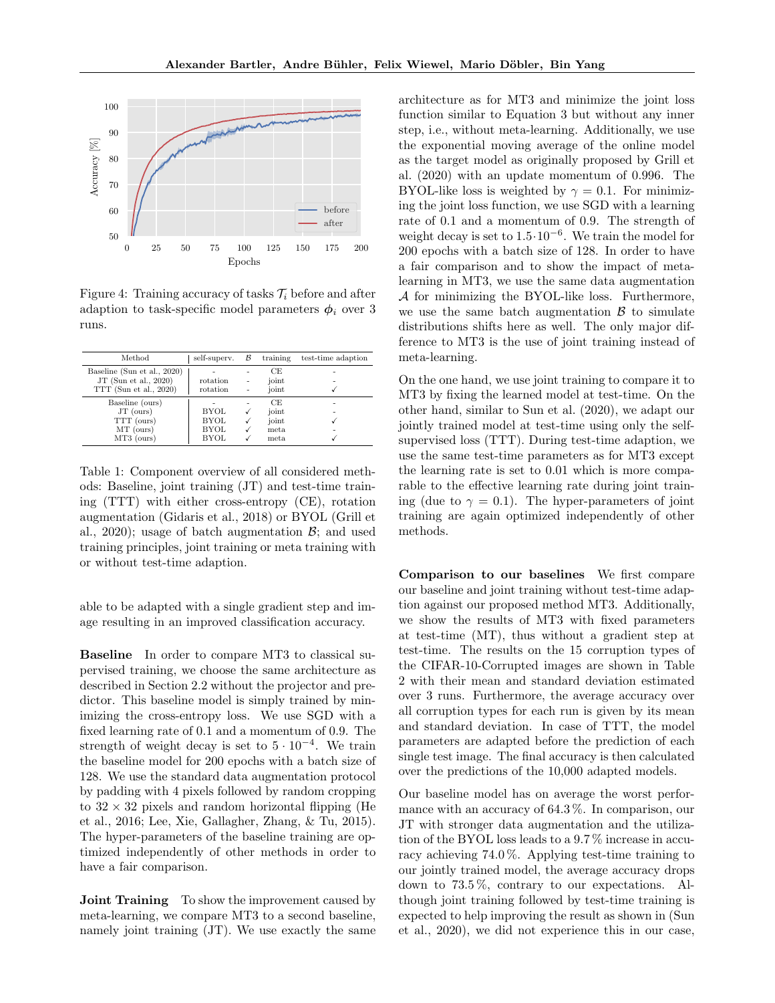

Figure 4: Training accuracy of tasks  $\mathcal{T}_i$  before and after adaption to task-specific model parameters  $\phi_i$  over 3 runs.

| Method                      | self-superv. | B              | training | test-time adaption |
|-----------------------------|--------------|----------------|----------|--------------------|
| Baseline (Sun et al., 2020) |              |                | CE       |                    |
| JT (Sun et al., 2020)       | rotation     | -              | joint    |                    |
| TTT (Sun et al., 2020)      | rotation     | $\overline{a}$ | ioint    |                    |
| Baseline (ours)             |              |                | CE       |                    |
| $JT$ (ours)                 | <b>BYOL</b>  |                | joint    |                    |
| TTT (ours)                  | BYOL         | √              | joint    |                    |
| $MT$ (ours)                 | <b>BYOL</b>  | √              | meta     |                    |
| $MT3$ (ours)                | <b>BYOL</b>  |                | meta     |                    |

Table 1: Component overview of all considered methods: Baseline, joint training (JT) and test-time training (TTT) with either cross-entropy (CE), rotation augmentation (Gidaris et al., 2018) or BYOL (Grill et al., 2020); usage of batch augmentation  $\mathcal{B}$ ; and used training principles, joint training or meta training with or without test-time adaption.

able to be adapted with a single gradient step and image resulting in an improved classification accuracy.

Baseline In order to compare MT3 to classical supervised training, we choose the same architecture as described in Section 2.2 without the projector and predictor. This baseline model is simply trained by minimizing the cross-entropy loss. We use SGD with a fixed learning rate of 0.1 and a momentum of 0.9. The strength of weight decay is set to  $5 \cdot 10^{-4}$ . We train the baseline model for 200 epochs with a batch size of 128. We use the standard data augmentation protocol by padding with 4 pixels followed by random cropping to  $32 \times 32$  pixels and random horizontal flipping (He et al., 2016; Lee, Xie, Gallagher, Zhang, & Tu, 2015). The hyper-parameters of the baseline training are optimized independently of other methods in order to have a fair comparison.

Joint Training To show the improvement caused by meta-learning, we compare MT3 to a second baseline, namely joint training (JT). We use exactly the same architecture as for MT3 and minimize the joint loss function similar to Equation 3 but without any inner step, i.e., without meta-learning. Additionally, we use the exponential moving average of the online model as the target model as originally proposed by Grill et al. (2020) with an update momentum of 0.996. The BYOL-like loss is weighted by  $\gamma = 0.1$ . For minimizing the joint loss function, we use SGD with a learning rate of 0.1 and a momentum of 0.9. The strength of weight decay is set to 1.5·10−<sup>6</sup> . We train the model for 200 epochs with a batch size of 128. In order to have a fair comparison and to show the impact of metalearning in MT3, we use the same data augmentation A for minimizing the BYOL-like loss. Furthermore, we use the same batch augmentation  $\beta$  to simulate distributions shifts here as well. The only major difference to MT3 is the use of joint training instead of meta-learning.

On the one hand, we use joint training to compare it to MT3 by fixing the learned model at test-time. On the other hand, similar to Sun et al. (2020), we adapt our jointly trained model at test-time using only the selfsupervised loss (TTT). During test-time adaption, we use the same test-time parameters as for MT3 except the learning rate is set to 0.01 which is more comparable to the effective learning rate during joint training (due to  $\gamma = 0.1$ ). The hyper-parameters of joint training are again optimized independently of other methods.

Comparison to our baselines We first compare our baseline and joint training without test-time adaption against our proposed method MT3. Additionally, we show the results of MT3 with fixed parameters at test-time (MT), thus without a gradient step at test-time. The results on the 15 corruption types of the CIFAR-10-Corrupted images are shown in Table 2 with their mean and standard deviation estimated over 3 runs. Furthermore, the average accuracy over all corruption types for each run is given by its mean and standard deviation. In case of TTT, the model parameters are adapted before the prediction of each single test image. The final accuracy is then calculated over the predictions of the 10,000 adapted models.

Our baseline model has on average the worst performance with an accuracy of 64.3 %. In comparison, our JT with stronger data augmentation and the utilization of the BYOL loss leads to a 9.7 % increase in accuracy achieving 74.0 %. Applying test-time training to our jointly trained model, the average accuracy drops down to 73.5 %, contrary to our expectations. Although joint training followed by test-time training is expected to help improving the result as shown in (Sun et al., 2020), we did not experience this in our case,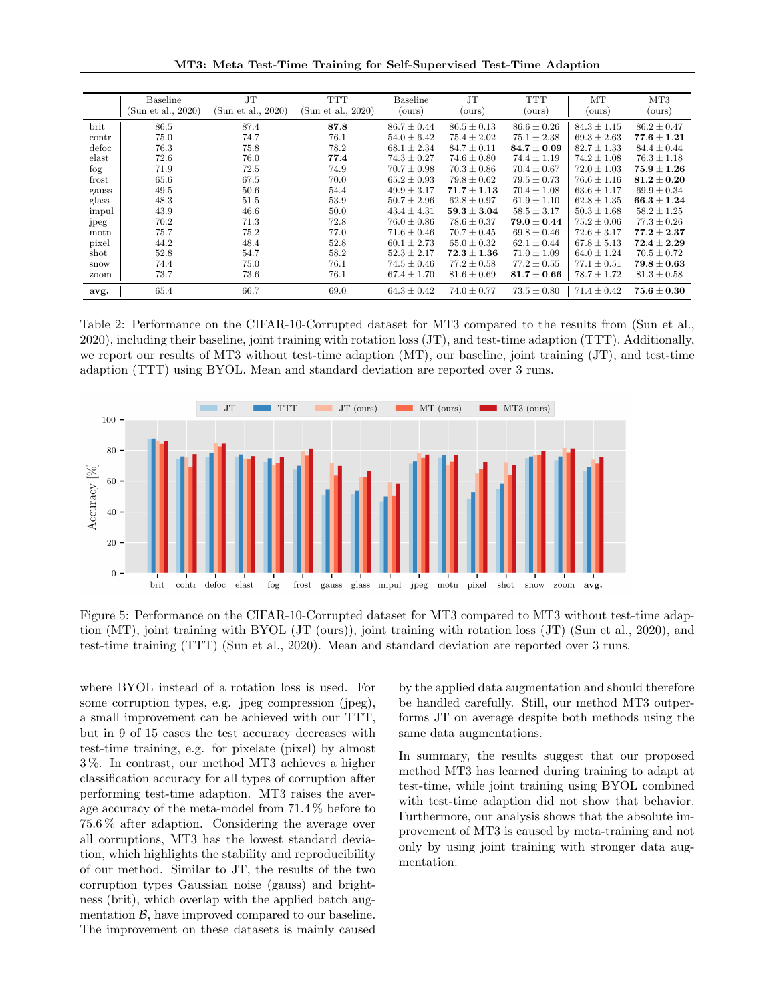MT3: Meta Test-Time Training for Self-Supervised Test-Time Adaption

|       | Baseline           | <b>JT</b>          | <b>TTT</b>         | Baseline        | J <sub>T</sub>  | <b>TTT</b>      | MT              | MT <sub>3</sub> |
|-------|--------------------|--------------------|--------------------|-----------------|-----------------|-----------------|-----------------|-----------------|
|       | (Sun et al., 2020) | (Sun et al., 2020) | (Sun et al., 2020) | (ours)          | (ours)          | (ours)          | (ours)          | (ours)          |
|       |                    |                    |                    |                 |                 |                 |                 |                 |
| brit  | 86.5               | 87.4               | 87.8               | $86.7 \pm 0.44$ | $86.5 \pm 0.13$ | $86.6 \pm 0.26$ | $84.3 \pm 1.15$ | $86.2 \pm 0.47$ |
| contr | 75.0               | 74.7               | 76.1               | $54.0 \pm 6.42$ | $75.4 \pm 2.02$ | $75.1 \pm 2.38$ | $69.3 \pm 2.63$ | $77.6 + 1.21$   |
| defoc | 76.3               | 75.8               | 78.2               | $68.1 \pm 2.34$ | $84.7 \pm 0.11$ | $84.7 \pm 0.09$ | $82.7 \pm 1.33$ | $84.4 \pm 0.44$ |
| elast | 72.6               | 76.0               | 77.4               | $74.3 \pm 0.27$ | $74.6 \pm 0.80$ | $74.4 \pm 1.19$ | $74.2 \pm 1.08$ | $76.3 \pm 1.18$ |
| fog   | 71.9               | 72.5               | 74.9               | $70.7 \pm 0.98$ | $70.3 \pm 0.86$ | $70.4 \pm 0.67$ | $72.0 \pm 1.03$ | $75.9 \pm 1.26$ |
| frost | 65.6               | 67.5               | 70.0               | $65.2 \pm 0.93$ | $79.8 \pm 0.62$ | $79.5 \pm 0.73$ | $76.6 \pm 1.16$ | $81.2\pm0.20$   |
| gauss | 49.5               | 50.6               | 54.4               | $49.9 \pm 3.17$ | $71.7 \pm 1.13$ | $70.4 \pm 1.08$ | $63.6 \pm 1.17$ | $69.9 \pm 0.34$ |
| glass | 48.3               | 51.5               | 53.9               | $50.7 \pm 2.96$ | $62.8 \pm 0.97$ | $61.9 \pm 1.10$ | $62.8 \pm 1.35$ | $66.3 \pm 1.24$ |
| impul | 43.9               | 46.6               | 50.0               | $43.4 \pm 4.31$ | $59.3 \pm 3.04$ | $58.5 \pm 3.17$ | $50.3 \pm 1.68$ | $58.2 \pm 1.25$ |
| jpeg  | 70.2               | 71.3               | 72.8               | $76.0 \pm 0.86$ | $78.6 \pm 0.37$ | $79.0 \pm 0.44$ | $75.2 \pm 0.06$ | $77.3 \pm 0.26$ |
| motn  | 75.7               | 75.2               | 77.0               | $71.6 \pm 0.46$ | $70.7 \pm 0.45$ | $69.8 \pm 0.46$ | $72.6 \pm 3.17$ | $77.2 + 2.37$   |
| pixel | 44.2               | 48.4               | 52.8               | $60.1 \pm 2.73$ | $65.0 \pm 0.32$ | $62.1 \pm 0.44$ | $67.8 \pm 5.13$ | $72.4 \pm 2.29$ |
| shot  | 52.8               | 54.7               | 58.2               | $52.3 \pm 2.17$ | $72.3 \pm 1.36$ | $71.0 \pm 1.09$ | $64.0 \pm 1.24$ | $70.5 \pm 0.72$ |
| snow  | 74.4               | 75.0               | 76.1               | $74.5 \pm 0.46$ | $77.2 \pm 0.58$ | $77.2 \pm 0.55$ | $77.1 \pm 0.51$ | $79.8 \pm 0.63$ |
| zoom  | 73.7               | 73.6               | 76.1               | $67.4 \pm 1.70$ | $81.6 \pm 0.69$ | $81.7\pm0.66$   | $78.7 \pm 1.72$ | $81.3 \pm 0.58$ |
| avg.  | 65.4               | 66.7               | 69.0               | $64.3 \pm 0.42$ | $74.0 \pm 0.77$ | $73.5 \pm 0.80$ | $71.4 \pm 0.42$ | $75.6 \pm 0.30$ |

Table 2: Performance on the CIFAR-10-Corrupted dataset for MT3 compared to the results from (Sun et al., 2020), including their baseline, joint training with rotation loss (JT), and test-time adaption (TTT). Additionally, we report our results of MT3 without test-time adaption (MT), our baseline, joint training (JT), and test-time adaption (TTT) using BYOL. Mean and standard deviation are reported over 3 runs.



Figure 5: Performance on the CIFAR-10-Corrupted dataset for MT3 compared to MT3 without test-time adaption (MT), joint training with BYOL (JT (ours)), joint training with rotation loss (JT) (Sun et al., 2020), and test-time training (TTT) (Sun et al., 2020). Mean and standard deviation are reported over 3 runs.

where BYOL instead of a rotation loss is used. For some corruption types, e.g. jpeg compression (jpeg), a small improvement can be achieved with our TTT, but in 9 of 15 cases the test accuracy decreases with test-time training, e.g. for pixelate (pixel) by almost 3 %. In contrast, our method MT3 achieves a higher classification accuracy for all types of corruption after performing test-time adaption. MT3 raises the average accuracy of the meta-model from 71.4 % before to 75.6 % after adaption. Considering the average over all corruptions, MT3 has the lowest standard deviation, which highlights the stability and reproducibility of our method. Similar to JT, the results of the two corruption types Gaussian noise (gauss) and brightness (brit), which overlap with the applied batch augmentation  $\beta$ , have improved compared to our baseline. The improvement on these datasets is mainly caused by the applied data augmentation and should therefore be handled carefully. Still, our method MT3 outperforms JT on average despite both methods using the same data augmentations.

In summary, the results suggest that our proposed method MT3 has learned during training to adapt at test-time, while joint training using BYOL combined with test-time adaption did not show that behavior. Furthermore, our analysis shows that the absolute improvement of MT3 is caused by meta-training and not only by using joint training with stronger data augmentation.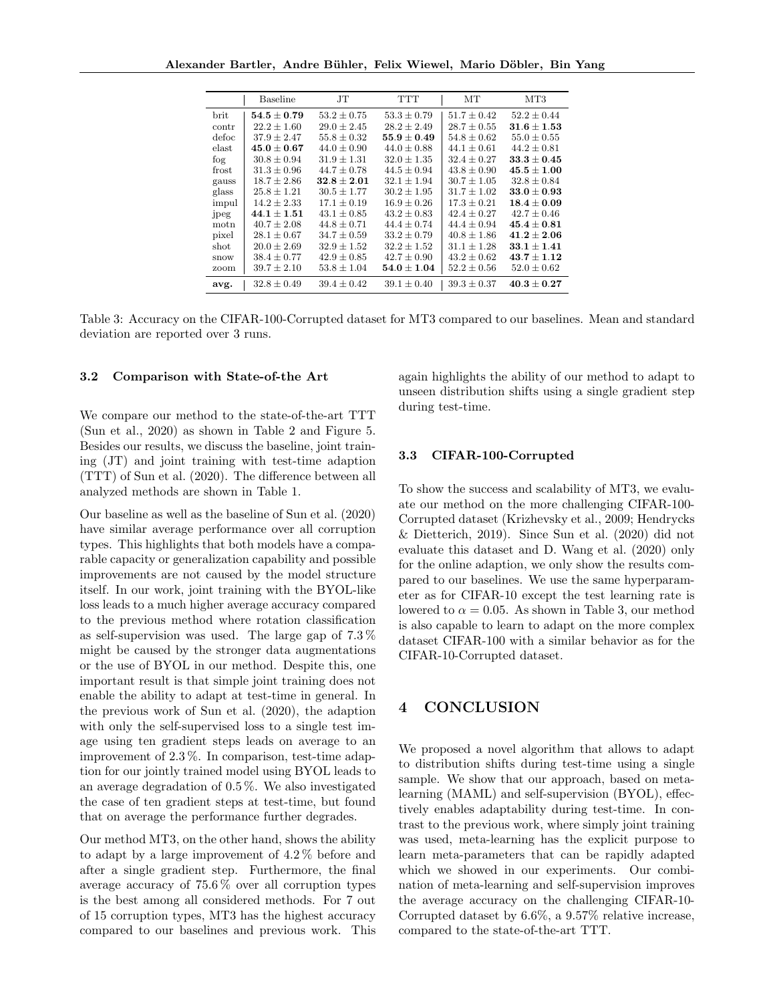|       | Baseline                          | JТ              | TTT                               | MТ              | MT3             |
|-------|-----------------------------------|-----------------|-----------------------------------|-----------------|-----------------|
| brit  | $\textbf{54.5} \pm \textbf{0.79}$ | $53.2 \pm 0.75$ | $53.3 \pm 0.79$                   | $51.7 \pm 0.42$ | $52.2 \pm 0.44$ |
| contr | $22.2 \pm 1.60$                   | $29.0 + 2.45$   | $28.2 + 2.49$                     | $28.7 \pm 0.55$ | $31.6 \pm 1.53$ |
| defoc | $37.9 \pm 2.47$                   | $55.8 \pm 0.32$ | $\mathbf{55.9} \pm \mathbf{0.49}$ | $54.8 \pm 0.62$ | $55.0 \pm 0.55$ |
| elast | $45.0 \pm 0.67$                   | $44.0 \pm 0.90$ | $44.0 \pm 0.88$                   | $44.1 \pm 0.61$ | $44.2 \pm 0.81$ |
| fog   | $30.8 \pm 0.94$                   | $31.9 + 1.31$   | $32.0 \pm 1.35$                   | $32.4 + 0.27$   | $33.3 + 0.45$   |
| frost | $31.3 \pm 0.96$                   | $44.7 \pm 0.78$ | $44.5 \pm 0.94$                   | $43.8 \pm 0.90$ | $45.5 \pm 1.00$ |
| gauss | $18.7 \pm 2.86$                   | $32.8 + 2.01$   | $32.1 + 1.94$                     | $30.7 + 1.05$   | $32.8 \pm 0.84$ |
| glass | $25.8 \pm 1.21$                   | $30.5 \pm 1.77$ | $30.2 \pm 1.95$                   | $31.7 \pm 1.02$ | $33.0 \pm 0.93$ |
| impul | $14.2 \pm 2.33$                   | $17.1 \pm 0.19$ | $16.9 \pm 0.26$                   | $17.3 + 0.21$   | $18.4\pm0.09$   |
| jpeg  | $44.1 + 1.51$                     | $43.1 + 0.85$   | $43.2 \pm 0.83$                   | $42.4 + 0.27$   | $42.7 \pm 0.46$ |
| motn  | $40.7 \pm 2.08$                   | $44.8 \pm 0.71$ | $44.4 \pm 0.74$                   | $44.4 + 0.94$   | $45.4 + 0.81$   |
| pixel | $28.1 \pm 0.67$                   | $34.7 \pm 0.59$ | $33.2 \pm 0.79$                   | $40.8 \pm 1.86$ | $41.2 + 2.06$   |
| shot  | $20.0 \pm 2.69$                   | $32.9 \pm 1.52$ | $32.2 \pm 1.52$                   | $31.1 + 1.28$   | $33.1 + 1.41$   |
| snow  | $38.4 \pm 0.77$                   | $42.9 \pm 0.85$ | $42.7 \pm 0.90$                   | $43.2 \pm 0.62$ | $43.7 + 1.12$   |
| zoom  | $39.7 \pm 2.10$                   | $53.8 \pm 1.04$ | $54.0 \pm 1.04$                   | $52.2 \pm 0.56$ | $52.0 \pm 0.62$ |
| avg.  | $32.8 \pm 0.49$                   | $39.4 \pm 0.42$ | $39.1 \pm 0.40$                   | $39.3 \pm 0.37$ | $40.3\pm0.27$   |

Table 3: Accuracy on the CIFAR-100-Corrupted dataset for MT3 compared to our baselines. Mean and standard deviation are reported over 3 runs.

### 3.2 Comparison with State-of-the Art

We compare our method to the state-of-the-art TTT (Sun et al., 2020) as shown in Table 2 and Figure 5. Besides our results, we discuss the baseline, joint training (JT) and joint training with test-time adaption (TTT) of Sun et al. (2020). The difference between all analyzed methods are shown in Table 1.

Our baseline as well as the baseline of Sun et al. (2020) have similar average performance over all corruption types. This highlights that both models have a comparable capacity or generalization capability and possible improvements are not caused by the model structure itself. In our work, joint training with the BYOL-like loss leads to a much higher average accuracy compared to the previous method where rotation classification as self-supervision was used. The large gap of 7.3 % might be caused by the stronger data augmentations or the use of BYOL in our method. Despite this, one important result is that simple joint training does not enable the ability to adapt at test-time in general. In the previous work of Sun et al. (2020), the adaption with only the self-supervised loss to a single test image using ten gradient steps leads on average to an improvement of 2.3 %. In comparison, test-time adaption for our jointly trained model using BYOL leads to an average degradation of 0.5 %. We also investigated the case of ten gradient steps at test-time, but found that on average the performance further degrades.

Our method MT3, on the other hand, shows the ability to adapt by a large improvement of 4.2 % before and after a single gradient step. Furthermore, the final average accuracy of 75.6 % over all corruption types is the best among all considered methods. For 7 out of 15 corruption types, MT3 has the highest accuracy compared to our baselines and previous work. This again highlights the ability of our method to adapt to unseen distribution shifts using a single gradient step during test-time.

### 3.3 CIFAR-100-Corrupted

To show the success and scalability of MT3, we evaluate our method on the more challenging CIFAR-100- Corrupted dataset (Krizhevsky et al., 2009; Hendrycks & Dietterich, 2019). Since Sun et al. (2020) did not evaluate this dataset and D. Wang et al. (2020) only for the online adaption, we only show the results compared to our baselines. We use the same hyperparameter as for CIFAR-10 except the test learning rate is lowered to  $\alpha = 0.05$ . As shown in Table 3, our method is also capable to learn to adapt on the more complex dataset CIFAR-100 with a similar behavior as for the CIFAR-10-Corrupted dataset.

# 4 CONCLUSION

We proposed a novel algorithm that allows to adapt to distribution shifts during test-time using a single sample. We show that our approach, based on metalearning (MAML) and self-supervision (BYOL), effectively enables adaptability during test-time. In contrast to the previous work, where simply joint training was used, meta-learning has the explicit purpose to learn meta-parameters that can be rapidly adapted which we showed in our experiments. Our combination of meta-learning and self-supervision improves the average accuracy on the challenging CIFAR-10- Corrupted dataset by 6.6%, a 9.57% relative increase, compared to the state-of-the-art TTT.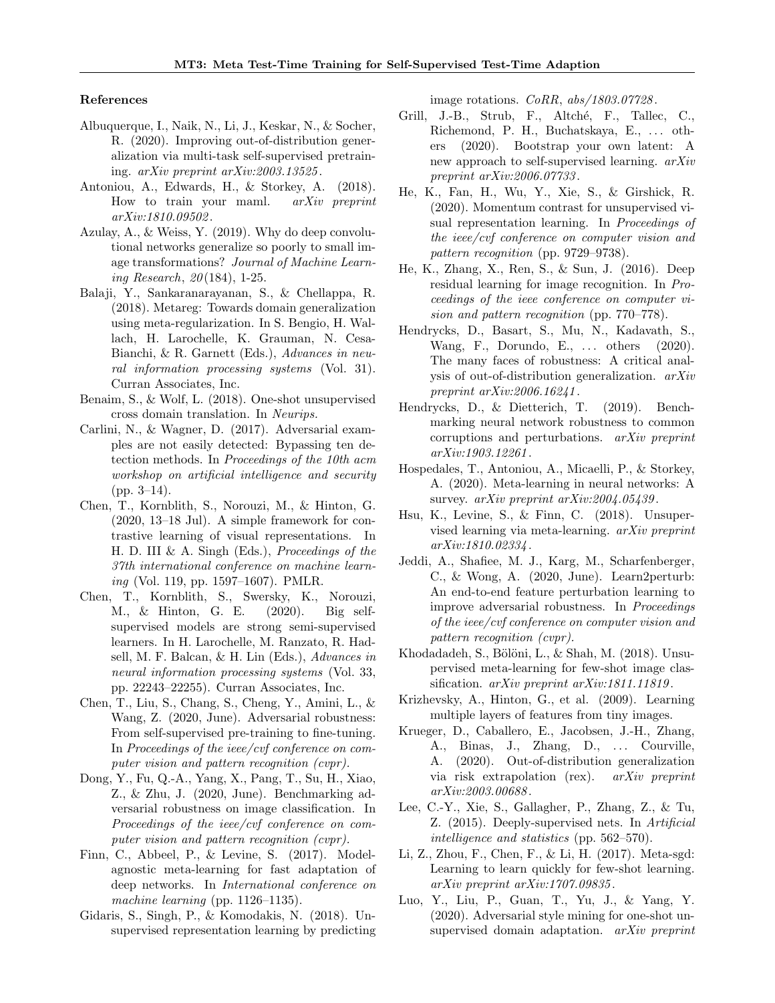#### References

- Albuquerque, I., Naik, N., Li, J., Keskar, N., & Socher, R. (2020). Improving out-of-distribution generalization via multi-task self-supervised pretraining. arXiv preprint arXiv:2003.13525 .
- Antoniou, A., Edwards, H., & Storkey, A. (2018). How to train your maml. arXiv preprint arXiv:1810.09502 .
- Azulay, A., & Weiss, Y. (2019). Why do deep convolutional networks generalize so poorly to small image transformations? Journal of Machine Learning Research, 20 (184), 1-25.
- Balaji, Y., Sankaranarayanan, S., & Chellappa, R. (2018). Metareg: Towards domain generalization using meta-regularization. In S. Bengio, H. Wallach, H. Larochelle, K. Grauman, N. Cesa-Bianchi, & R. Garnett (Eds.), Advances in neural information processing systems (Vol. 31). Curran Associates, Inc.
- Benaim, S., & Wolf, L. (2018). One-shot unsupervised cross domain translation. In Neurips.
- Carlini, N., & Wagner, D. (2017). Adversarial examples are not easily detected: Bypassing ten detection methods. In Proceedings of the 10th acm workshop on artificial intelligence and security  $(pp. 3-14)$ .
- Chen, T., Kornblith, S., Norouzi, M., & Hinton, G. (2020, 13–18 Jul). A simple framework for contrastive learning of visual representations. In H. D. III & A. Singh (Eds.), Proceedings of the 37th international conference on machine learning (Vol. 119, pp. 1597–1607). PMLR.
- Chen, T., Kornblith, S., Swersky, K., Norouzi, M., & Hinton, G. E. (2020). Big selfsupervised models are strong semi-supervised learners. In H. Larochelle, M. Ranzato, R. Hadsell, M. F. Balcan, & H. Lin (Eds.), Advances in neural information processing systems (Vol. 33, pp. 22243–22255). Curran Associates, Inc.
- Chen, T., Liu, S., Chang, S., Cheng, Y., Amini, L., & Wang, Z. (2020, June). Adversarial robustness: From self-supervised pre-training to fine-tuning. In Proceedings of the ieee/cvf conference on computer vision and pattern recognition (cvpr).
- Dong, Y., Fu, Q.-A., Yang, X., Pang, T., Su, H., Xiao, Z., & Zhu, J. (2020, June). Benchmarking adversarial robustness on image classification. In Proceedings of the ieee/cvf conference on computer vision and pattern recognition (cvpr).
- Finn, C., Abbeel, P., & Levine, S. (2017). Modelagnostic meta-learning for fast adaptation of deep networks. In International conference on machine learning (pp. 1126–1135).
- Gidaris, S., Singh, P., & Komodakis, N. (2018). Unsupervised representation learning by predicting

image rotations. *CoRR*,  $abs/1803.07728$ .

- Grill, J.-B., Strub, F., Altché, F., Tallec, C., Richemond, P. H., Buchatskaya, E., ... others (2020). Bootstrap your own latent: A new approach to self-supervised learning. arXiv preprint arXiv:2006.07733 .
- He, K., Fan, H., Wu, Y., Xie, S., & Girshick, R. (2020). Momentum contrast for unsupervised visual representation learning. In Proceedings of the ieee/cvf conference on computer vision and pattern recognition (pp. 9729–9738).
- He, K., Zhang, X., Ren, S., & Sun, J. (2016). Deep residual learning for image recognition. In Proceedings of the ieee conference on computer vision and pattern recognition (pp. 770–778).
- Hendrycks, D., Basart, S., Mu, N., Kadavath, S., Wang, F., Dorundo, E., ... others (2020). The many faces of robustness: A critical analysis of out-of-distribution generalization. arXiv preprint arXiv:2006.16241 .
- Hendrycks, D., & Dietterich, T. (2019). Benchmarking neural network robustness to common corruptions and perturbations. arXiv preprint arXiv:1903.12261 .
- Hospedales, T., Antoniou, A., Micaelli, P., & Storkey, A. (2020). Meta-learning in neural networks: A survey. arXiv preprint arXiv:2004.05439.
- Hsu, K., Levine, S., & Finn, C. (2018). Unsupervised learning via meta-learning. arXiv preprint arXiv:1810.02334 .
- Jeddi, A., Shafiee, M. J., Karg, M., Scharfenberger, C., & Wong, A. (2020, June). Learn2perturb: An end-to-end feature perturbation learning to improve adversarial robustness. In Proceedings of the ieee/cvf conference on computer vision and pattern recognition (cvpr).
- Khodadadeh, S., Bölöni, L., & Shah, M. (2018). Unsupervised meta-learning for few-shot image classification. arXiv preprint arXiv:1811.11819.
- Krizhevsky, A., Hinton, G., et al. (2009). Learning multiple layers of features from tiny images.
- Krueger, D., Caballero, E., Jacobsen, J.-H., Zhang, A., Binas, J., Zhang, D., ... Courville, A. (2020). Out-of-distribution generalization via risk extrapolation (rex). arXiv preprint arXiv:2003.00688 .
- Lee, C.-Y., Xie, S., Gallagher, P., Zhang, Z., & Tu, Z. (2015). Deeply-supervised nets. In Artificial intelligence and statistics (pp. 562–570).
- Li, Z., Zhou, F., Chen, F., & Li, H. (2017). Meta-sgd: Learning to learn quickly for few-shot learning. arXiv preprint arXiv:1707.09835 .
- Luo, Y., Liu, P., Guan, T., Yu, J., & Yang, Y. (2020). Adversarial style mining for one-shot unsupervised domain adaptation. *arXiv preprint*